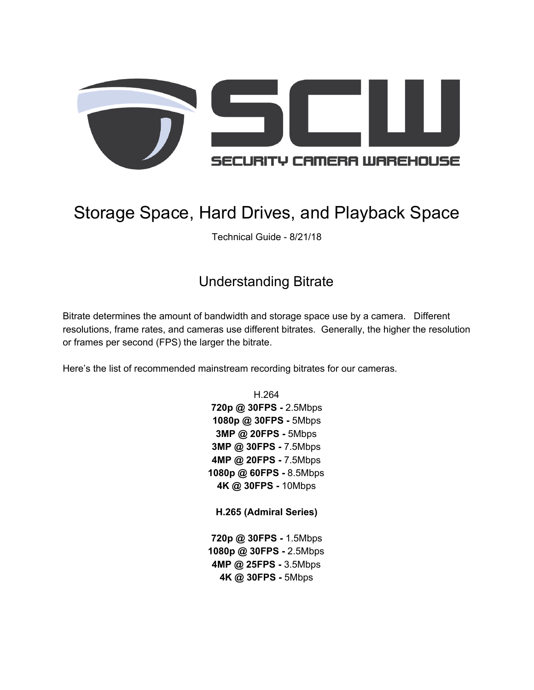

# Storage Space, Hard Drives, and Playback Space

Technical Guide - 8/21/18

# Understanding Bitrate

Bitrate determines the amount of bandwidth and storage space use by a camera. Different resolutions, frame rates, and cameras use different bitrates. Generally, the higher the resolution or frames per second (FPS) the larger the bitrate.

Here's the list of recommended mainstream recording bitrates for our cameras.

H.264 **720p @ 30FPS -** 2.5Mbps **1080p @ 30FPS -** 5Mbps **3MP @ 20FPS -** 5Mbps **3MP @ 30FPS -** 7.5Mbps **4MP @ 20FPS -** 7.5Mbps **1080p @ 60FPS -** 8.5Mbps **4K @ 30FPS -** 10Mbps

**H.265 (Admiral Series)**

**720p @ 30FPS -** 1.5Mbps **1080p @ 30FPS -** 2.5Mbps **4MP @ 25FPS -** 3.5Mbps **4K @ 30FPS -** 5Mbps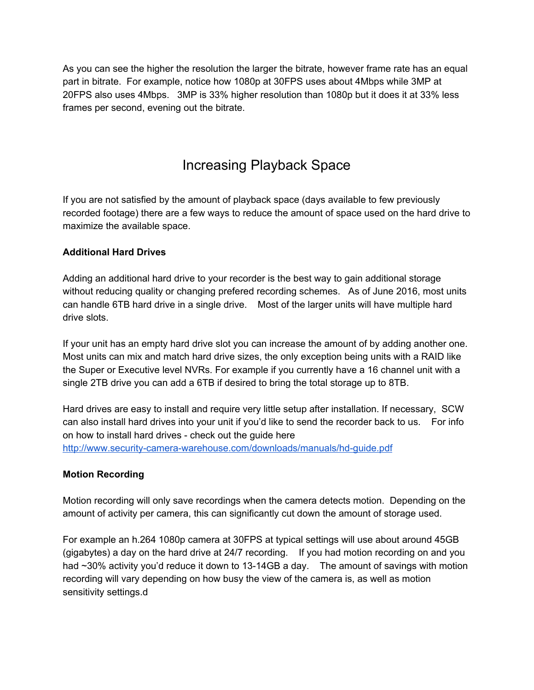As you can see the higher the resolution the larger the bitrate, however frame rate has an equal part in bitrate. For example, notice how 1080p at 30FPS uses about 4Mbps while 3MP at 20FPS also uses 4Mbps. 3MP is 33% higher resolution than 1080p but it does it at 33% less frames per second, evening out the bitrate.

# Increasing Playback Space

If you are not satisfied by the amount of playback space (days available to few previously recorded footage) there are a few ways to reduce the amount of space used on the hard drive to maximize the available space.

### **Additional Hard Drives**

Adding an additional hard drive to your recorder is the best way to gain additional storage without reducing quality or changing prefered recording schemes. As of June 2016, most units can handle 6TB hard drive in a single drive. Most of the larger units will have multiple hard drive slots.

If your unit has an empty hard drive slot you can increase the amount of by adding another one. Most units can mix and match hard drive sizes, the only exception being units with a RAID like the Super or Executive level NVRs. For example if you currently have a 16 channel unit with a single 2TB drive you can add a 6TB if desired to bring the total storage up to 8TB.

Hard drives are easy to install and require very little setup after installation. If necessary, SCW can also install hard drives into your unit if you'd like to send the recorder back to us. For info on how to install hard drives - check out the guide here <http://www.security-camera-warehouse.com/downloads/manuals/hd-guide.pdf>

### **Motion Recording**

Motion recording will only save recordings when the camera detects motion. Depending on the amount of activity per camera, this can significantly cut down the amount of storage used.

For example an h.264 1080p camera at 30FPS at typical settings will use about around 45GB (gigabytes) a day on the hard drive at 24/7 recording. If you had motion recording on and you had ~30% activity you'd reduce it down to 13-14GB a day. The amount of savings with motion recording will vary depending on how busy the view of the camera is, as well as motion sensitivity settings.d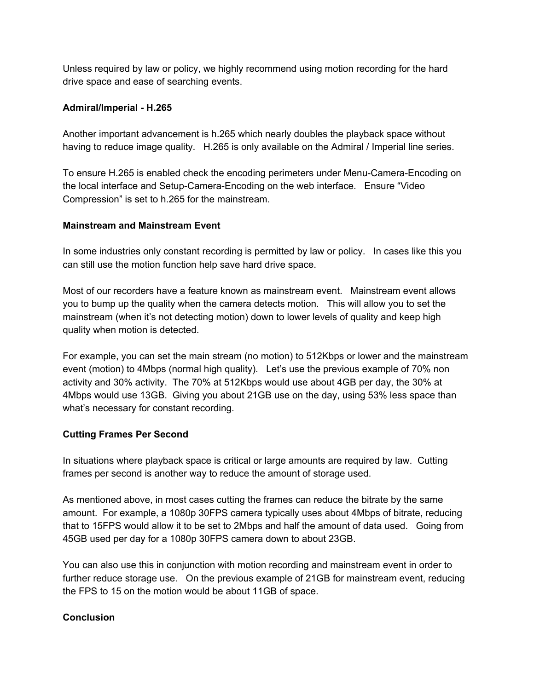Unless required by law or policy, we highly recommend using motion recording for the hard drive space and ease of searching events.

#### **Admiral/Imperial - H.265**

Another important advancement is h.265 which nearly doubles the playback space without having to reduce image quality. H.265 is only available on the Admiral / Imperial line series.

To ensure H.265 is enabled check the encoding perimeters under Menu-Camera-Encoding on the local interface and Setup-Camera-Encoding on the web interface. Ensure "Video Compression" is set to h.265 for the mainstream.

#### **Mainstream and Mainstream Event**

In some industries only constant recording is permitted by law or policy. In cases like this you can still use the motion function help save hard drive space.

Most of our recorders have a feature known as mainstream event. Mainstream event allows you to bump up the quality when the camera detects motion. This will allow you to set the mainstream (when it's not detecting motion) down to lower levels of quality and keep high quality when motion is detected.

For example, you can set the main stream (no motion) to 512Kbps or lower and the mainstream event (motion) to 4Mbps (normal high quality). Let's use the previous example of 70% non activity and 30% activity. The 70% at 512Kbps would use about 4GB per day, the 30% at 4Mbps would use 13GB. Giving you about 21GB use on the day, using 53% less space than what's necessary for constant recording.

### **Cutting Frames Per Second**

In situations where playback space is critical or large amounts are required by law. Cutting frames per second is another way to reduce the amount of storage used.

As mentioned above, in most cases cutting the frames can reduce the bitrate by the same amount. For example, a 1080p 30FPS camera typically uses about 4Mbps of bitrate, reducing that to 15FPS would allow it to be set to 2Mbps and half the amount of data used. Going from 45GB used per day for a 1080p 30FPS camera down to about 23GB.

You can also use this in conjunction with motion recording and mainstream event in order to further reduce storage use. On the previous example of 21GB for mainstream event, reducing the FPS to 15 on the motion would be about 11GB of space.

### **Conclusion**